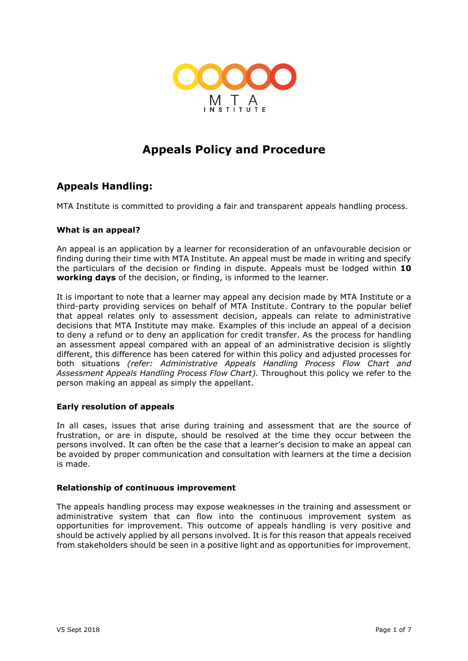

# **Appeals Policy and Procedure**

## **Appeals Handling:**

MTA Institute is committed to providing a fair and transparent appeals handling process.

## **What is an appeal?**

An appeal is an application by a learner for reconsideration of an unfavourable decision or finding during their time with MTA Institute. An appeal must be made in writing and specify the particulars of the decision or finding in dispute. Appeals must be lodged within **10 working days** of the decision, or finding, is informed to the learner.

It is important to note that a learner may appeal any decision made by MTA Institute or a third-party providing services on behalf of MTA Institute. Contrary to the popular belief that appeal relates only to assessment decision, appeals can relate to administrative decisions that MTA Institute may make. Examples of this include an appeal of a decision to deny a refund or to deny an application for credit transfer. As the process for handling an assessment appeal compared with an appeal of an administrative decision is slightly different, this difference has been catered for within this policy and adjusted processes for both situations *(refer: Administrative Appeals Handling Process Flow Chart and Assessment Appeals Handling Process Flow Chart).* Throughout this policy we refer to the person making an appeal as simply the appellant.

## **Early resolution of appeals**

In all cases, issues that arise during training and assessment that are the source of frustration, or are in dispute, should be resolved at the time they occur between the persons involved. It can often be the case that a learner's decision to make an appeal can be avoided by proper communication and consultation with learners at the time a decision is made.

#### **Relationship of continuous improvement**

The appeals handling process may expose weaknesses in the training and assessment or administrative system that can flow into the continuous improvement system as opportunities for improvement. This outcome of appeals handling is very positive and should be actively applied by all persons involved. It is for this reason that appeals received from stakeholders should be seen in a positive light and as opportunities for improvement.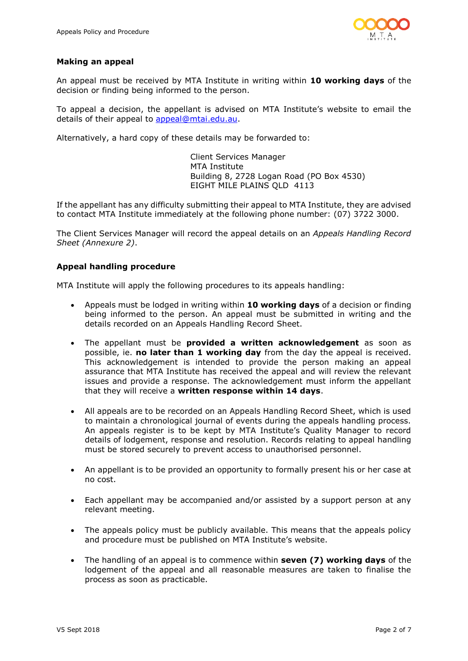

### **Making an appeal**

An appeal must be received by MTA Institute in writing within **10 working days** of the decision or finding being informed to the person.

To appeal a decision, the appellant is advised on MTA Institute's website to email the details of their appeal to [appeal@mtai.edu.au.](mailto:appeal@mtai.edu.au)

Alternatively, a hard copy of these details may be forwarded to:

Client Services Manager MTA Institute Building 8, 2728 Logan Road (PO Box 4530) EIGHT MILE PLAINS QLD 4113

If the appellant has any difficulty submitting their appeal to MTA Institute, they are advised to contact MTA Institute immediately at the following phone number: (07) 3722 3000.

The Client Services Manager will record the appeal details on an *Appeals Handling Record Sheet (Annexure 2)*.

## **Appeal handling procedure**

MTA Institute will apply the following procedures to its appeals handling:

- Appeals must be lodged in writing within **10 working days** of a decision or finding being informed to the person. An appeal must be submitted in writing and the details recorded on an Appeals Handling Record Sheet.
- The appellant must be **provided a written acknowledgement** as soon as possible, ie. **no later than 1 working day** from the day the appeal is received. This acknowledgement is intended to provide the person making an appeal assurance that MTA Institute has received the appeal and will review the relevant issues and provide a response. The acknowledgement must inform the appellant that they will receive a **written response within 14 days**.
- All appeals are to be recorded on an Appeals Handling Record Sheet, which is used to maintain a chronological journal of events during the appeals handling process. An appeals register is to be kept by MTA Institute's Quality Manager to record details of lodgement, response and resolution. Records relating to appeal handling must be stored securely to prevent access to unauthorised personnel.
- An appellant is to be provided an opportunity to formally present his or her case at no cost.
- Each appellant may be accompanied and/or assisted by a support person at any relevant meeting.
- The appeals policy must be publicly available. This means that the appeals policy and procedure must be published on MTA Institute's website.
- The handling of an appeal is to commence within **seven (7) working days** of the lodgement of the appeal and all reasonable measures are taken to finalise the process as soon as practicable.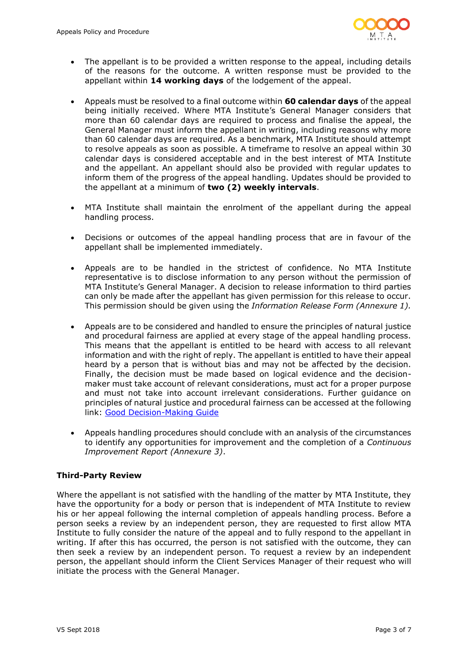

- The appellant is to be provided a written response to the appeal, including details of the reasons for the outcome. A written response must be provided to the appellant within **14 working days** of the lodgement of the appeal.
- Appeals must be resolved to a final outcome within **60 calendar days** of the appeal being initially received. Where MTA Institute's General Manager considers that more than 60 calendar days are required to process and finalise the appeal, the General Manager must inform the appellant in writing, including reasons why more than 60 calendar days are required. As a benchmark, MTA Institute should attempt to resolve appeals as soon as possible. A timeframe to resolve an appeal within 30 calendar days is considered acceptable and in the best interest of MTA Institute and the appellant. An appellant should also be provided with regular updates to inform them of the progress of the appeal handling. Updates should be provided to the appellant at a minimum of **two (2) weekly intervals**.
- MTA Institute shall maintain the enrolment of the appellant during the appeal handling process.
- Decisions or outcomes of the appeal handling process that are in favour of the appellant shall be implemented immediately.
- Appeals are to be handled in the strictest of confidence. No MTA Institute representative is to disclose information to any person without the permission of MTA Institute's General Manager. A decision to release information to third parties can only be made after the appellant has given permission for this release to occur. This permission should be given using the *Information Release Form (Annexure 1).*
- Appeals are to be considered and handled to ensure the principles of natural justice and procedural fairness are applied at every stage of the appeal handling process. This means that the appellant is entitled to be heard with access to all relevant information and with the right of reply. The appellant is entitled to have their appeal heard by a person that is without bias and may not be affected by the decision. Finally, the decision must be made based on logical evidence and the decisionmaker must take account of relevant considerations, must act for a proper purpose and must not take into account irrelevant considerations. Further guidance on principles of natural justice and procedural fairness can be accessed at the following link: [Good Decision-Making Guide](http://www.ombudsman.qld.gov.au/improve-public-administration/public-administration-resources/good-decision-making)
- Appeals handling procedures should conclude with an analysis of the circumstances to identify any opportunities for improvement and the completion of a *Continuous Improvement Report (Annexure 3)*.

## **Third-Party Review**

Where the appellant is not satisfied with the handling of the matter by MTA Institute, they have the opportunity for a body or person that is independent of MTA Institute to review his or her appeal following the internal completion of appeals handling process. Before a person seeks a review by an independent person, they are requested to first allow MTA Institute to fully consider the nature of the appeal and to fully respond to the appellant in writing. If after this has occurred, the person is not satisfied with the outcome, they can then seek a review by an independent person. To request a review by an independent person, the appellant should inform the Client Services Manager of their request who will initiate the process with the General Manager.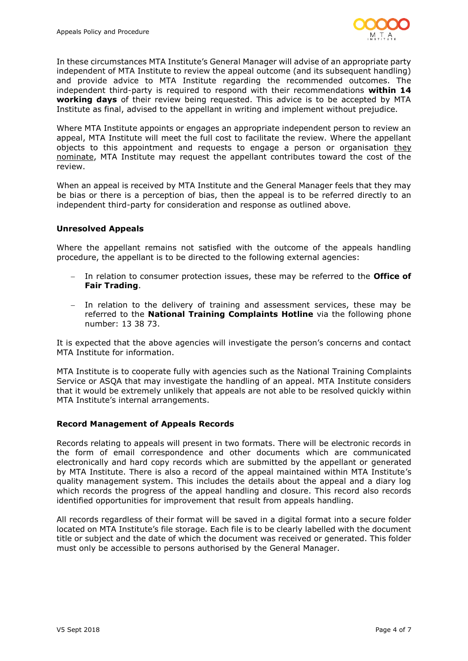

In these circumstances MTA Institute's General Manager will advise of an appropriate party independent of MTA Institute to review the appeal outcome (and its subsequent handling) and provide advice to MTA Institute regarding the recommended outcomes. The independent third-party is required to respond with their recommendations **within 14 working days** of their review being requested. This advice is to be accepted by MTA Institute as final, advised to the appellant in writing and implement without prejudice.

Where MTA Institute appoints or engages an appropriate independent person to review an appeal, MTA Institute will meet the full cost to facilitate the review. Where the appellant objects to this appointment and requests to engage a person or organisation they nominate, MTA Institute may request the appellant contributes toward the cost of the review.

When an appeal is received by MTA Institute and the General Manager feels that they may be bias or there is a perception of bias, then the appeal is to be referred directly to an independent third-party for consideration and response as outlined above.

#### **Unresolved Appeals**

Where the appellant remains not satisfied with the outcome of the appeals handling procedure, the appellant is to be directed to the following external agencies:

- − In relation to consumer protection issues, these may be referred to the **Office of Fair Trading**.
- − In relation to the delivery of training and assessment services, these may be referred to the **National Training Complaints Hotline** via the following phone number: 13 38 73.

It is expected that the above agencies will investigate the person's concerns and contact MTA Institute for information.

MTA Institute is to cooperate fully with agencies such as the National Training Complaints Service or ASQA that may investigate the handling of an appeal. MTA Institute considers that it would be extremely unlikely that appeals are not able to be resolved quickly within MTA Institute's internal arrangements.

#### **Record Management of Appeals Records**

Records relating to appeals will present in two formats. There will be electronic records in the form of email correspondence and other documents which are communicated electronically and hard copy records which are submitted by the appellant or generated by MTA Institute. There is also a record of the appeal maintained within MTA Institute's quality management system. This includes the details about the appeal and a diary log which records the progress of the appeal handling and closure. This record also records identified opportunities for improvement that result from appeals handling.

All records regardless of their format will be saved in a digital format into a secure folder located on MTA Institute's file storage. Each file is to be clearly labelled with the document title or subject and the date of which the document was received or generated. This folder must only be accessible to persons authorised by the General Manager.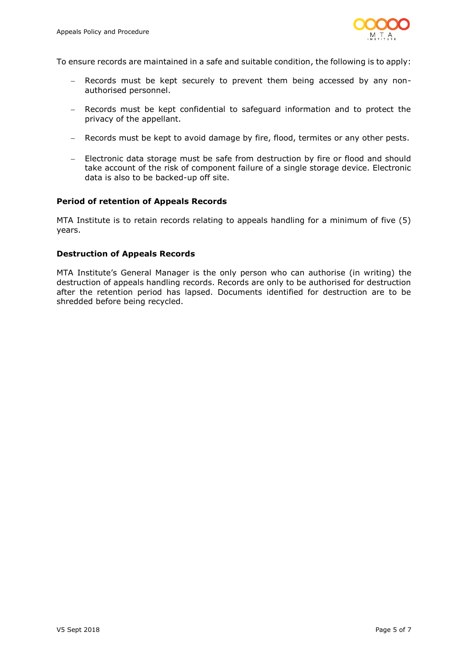

To ensure records are maintained in a safe and suitable condition, the following is to apply:

- − Records must be kept securely to prevent them being accessed by any nonauthorised personnel.
- − Records must be kept confidential to safeguard information and to protect the privacy of the appellant.
- − Records must be kept to avoid damage by fire, flood, termites or any other pests.
- − Electronic data storage must be safe from destruction by fire or flood and should take account of the risk of component failure of a single storage device. Electronic data is also to be backed-up off site.

#### **Period of retention of Appeals Records**

MTA Institute is to retain records relating to appeals handling for a minimum of five (5) years.

#### **Destruction of Appeals Records**

MTA Institute's General Manager is the only person who can authorise (in writing) the destruction of appeals handling records. Records are only to be authorised for destruction after the retention period has lapsed. Documents identified for destruction are to be shredded before being recycled.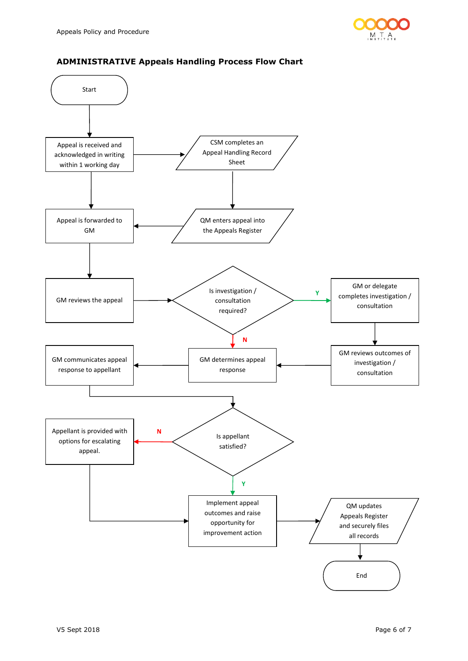



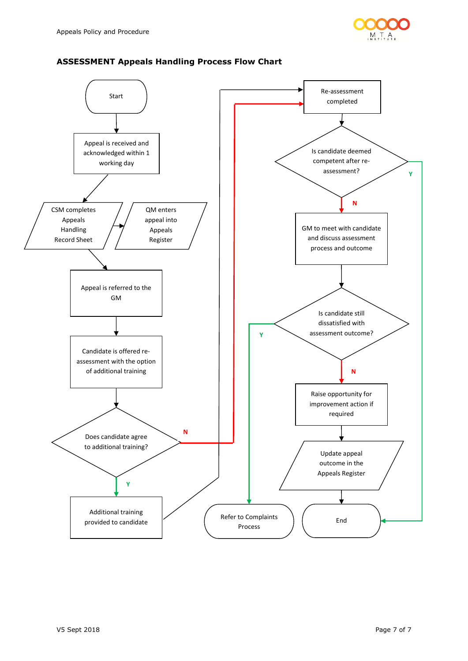

## **ASSESSMENT Appeals Handling Process Flow Chart**

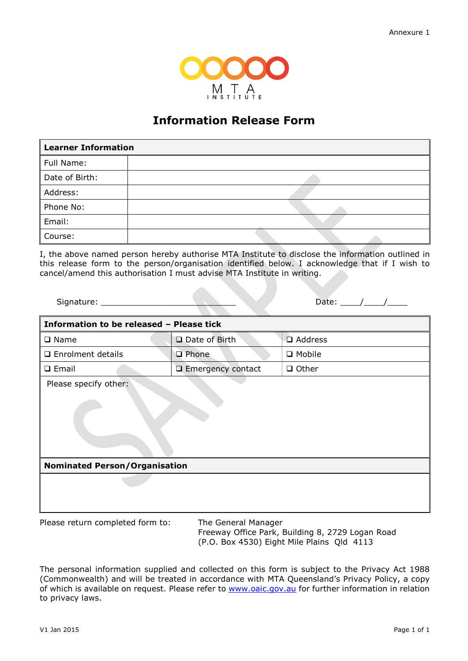

## **Information Release Form**

| <b>Learner Information</b> |  |
|----------------------------|--|
| Full Name:                 |  |
| Date of Birth:             |  |
| Address:                   |  |
| Phone No:                  |  |
| Email:                     |  |
| Course:                    |  |

I, the above named person hereby authorise MTA Institute to disclose the information outlined in this release form to the person/organisation identified below. I acknowledge that if I wish to cancel/amend this authorisation I must advise MTA Institute in writing.

| $\sim$<br>.<br>יור | - - |
|--------------------|-----|
|                    |     |

| Information to be released - Please tick |                          |              |
|------------------------------------------|--------------------------|--------------|
| $\square$ Name                           | $\Box$ Date of Birth     | □ Address    |
| □ Enrolment details                      | <b>Q</b> Phone           | □ Mobile     |
| $\Box$ Email                             | $\Box$ Emergency contact | $\Box$ Other |
| Please specify other:                    |                          |              |
|                                          |                          |              |
| <b>Nominated Person/Organisation</b>     |                          |              |
|                                          |                          |              |
|                                          |                          |              |

Please return completed form to: The General Manager

Freeway Office Park, Building 8, 2729 Logan Road (P.O. Box 4530) Eight Mile Plains Qld 4113

The personal information supplied and collected on this form is subject to the Privacy Act 1988 (Commonwealth) and will be treated in accordance with MTA Queensland's Privacy Policy, a copy of which is available on request. Please refer to [www.oaic.gov.au](http://www.oaic.gov.au/) for further information in relation to privacy laws.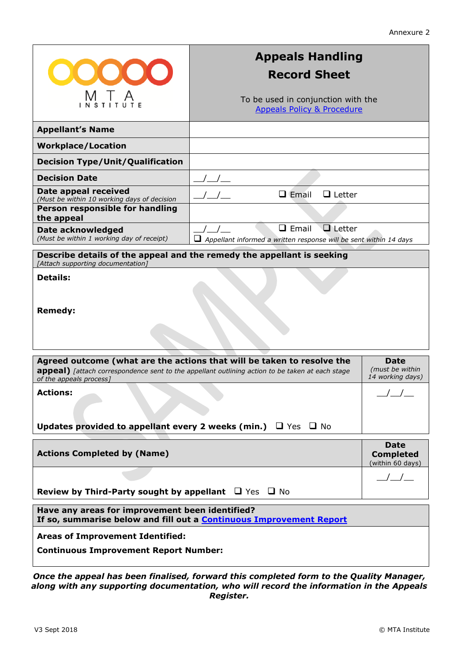| <b>OO</b>                                                                                                                                                         | <b>Appeals Handling</b><br><b>Record Sheet</b>                                                     |                                      |  |
|-------------------------------------------------------------------------------------------------------------------------------------------------------------------|----------------------------------------------------------------------------------------------------|--------------------------------------|--|
| IVI I A<br>Nstitute                                                                                                                                               | To be used in conjunction with the<br><b>Appeals Policy &amp; Procedure</b>                        |                                      |  |
| <b>Appellant's Name</b>                                                                                                                                           |                                                                                                    |                                      |  |
| <b>Workplace/Location</b>                                                                                                                                         |                                                                                                    |                                      |  |
| <b>Decision Type/Unit/Qualification</b>                                                                                                                           |                                                                                                    |                                      |  |
| <b>Decision Date</b>                                                                                                                                              |                                                                                                    |                                      |  |
| Date appeal received<br>(Must be within 10 working days of decision                                                                                               | $\Box$ Email<br>$\Box$ Letter                                                                      |                                      |  |
| Person responsible for handling<br>the appeal                                                                                                                     |                                                                                                    |                                      |  |
| Date acknowledged<br>(Must be within 1 working day of receipt)                                                                                                    | $\Box$ Email<br>$\Box$ Letter<br>Appellant informed a written response will be sent within 14 days |                                      |  |
|                                                                                                                                                                   | Describe details of the appeal and the remedy the appellant is seeking                             |                                      |  |
| [Attach supporting documentation]                                                                                                                                 |                                                                                                    |                                      |  |
| <b>Details:</b>                                                                                                                                                   |                                                                                                    |                                      |  |
|                                                                                                                                                                   |                                                                                                    |                                      |  |
| <b>Remedy:</b>                                                                                                                                                    |                                                                                                    |                                      |  |
|                                                                                                                                                                   |                                                                                                    |                                      |  |
|                                                                                                                                                                   |                                                                                                    |                                      |  |
|                                                                                                                                                                   | Agreed outcome (what are the actions that will be taken to resolve the                             | <b>Date</b>                          |  |
| (must be within<br>appeal) [attach correspondence sent to the appellant outlining action to be taken at each stage<br>14 working days)<br>of the appeals process] |                                                                                                    |                                      |  |
| <b>Actions:</b><br>$\overline{\phantom{a}}$                                                                                                                       |                                                                                                    |                                      |  |
|                                                                                                                                                                   |                                                                                                    |                                      |  |
| Updates provided to appellant every 2 weeks (min.) $\Box$ Yes $\Box$ No                                                                                           |                                                                                                    |                                      |  |
|                                                                                                                                                                   |                                                                                                    | <b>Date</b>                          |  |
| <b>Actions Completed by (Name)</b>                                                                                                                                |                                                                                                    | <b>Completed</b><br>(within 60 days) |  |
|                                                                                                                                                                   |                                                                                                    |                                      |  |
| <b>Review by Third-Party sought by appellant</b> $\Box$ Yes $\Box$ No                                                                                             |                                                                                                    |                                      |  |
| Have any areas for improvement been identified?<br>If so, summarise below and fill out a <b>Continuous Improvement Report</b>                                     |                                                                                                    |                                      |  |
| <b>Areas of Improvement Identified:</b>                                                                                                                           |                                                                                                    |                                      |  |
| <b>Continuous Improvement Report Number:</b>                                                                                                                      |                                                                                                    |                                      |  |

*Once the appeal has been finalised, forward this completed form to the Quality Manager, along with any supporting documentation, who will record the information in the Appeals Register.*